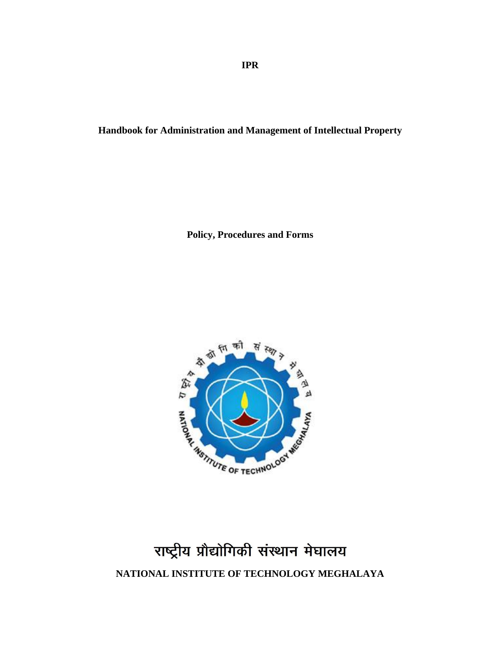**IPR**

**Handbook for Administration and Management of Intellectual Property**

**Policy, Procedures and Forms**



# राष्ट्रीय प्रौद्योगिकी संस्थान मेघालय **NATIONAL INSTITUTE OF TECHNOLOGY MEGHALAYA**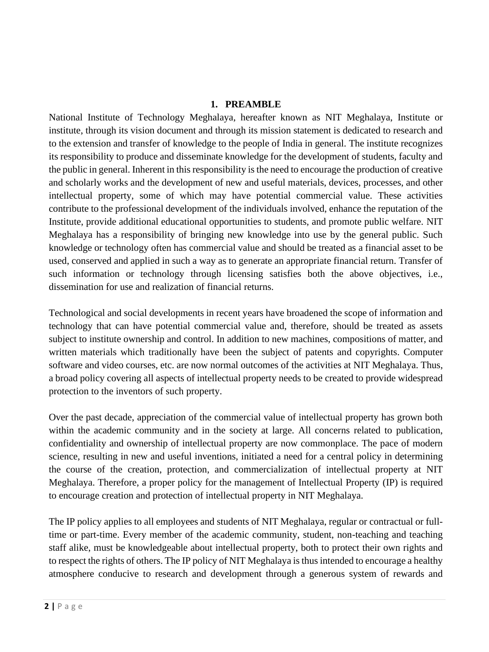#### **1. PREAMBLE**

National Institute of Technology Meghalaya, hereafter known as NIT Meghalaya, Institute or institute, through its vision document and through its mission statement is dedicated to research and to the extension and transfer of knowledge to the people of India in general. The institute recognizes its responsibility to produce and disseminate knowledge for the development of students, faculty and the public in general. Inherent in this responsibility is the need to encourage the production of creative and scholarly works and the development of new and useful materials, devices, processes, and other intellectual property, some of which may have potential commercial value. These activities contribute to the professional development of the individuals involved, enhance the reputation of the Institute, provide additional educational opportunities to students, and promote public welfare. NIT Meghalaya has a responsibility of bringing new knowledge into use by the general public. Such knowledge or technology often has commercial value and should be treated as a financial asset to be used, conserved and applied in such a way as to generate an appropriate financial return. Transfer of such information or technology through licensing satisfies both the above objectives, i.e., dissemination for use and realization of financial returns.

Technological and social developments in recent years have broadened the scope of information and technology that can have potential commercial value and, therefore, should be treated as assets subject to institute ownership and control. In addition to new machines, compositions of matter, and written materials which traditionally have been the subject of patents and copyrights. Computer software and video courses, etc. are now normal outcomes of the activities at NIT Meghalaya. Thus, a broad policy covering all aspects of intellectual property needs to be created to provide widespread protection to the inventors of such property.

Over the past decade, appreciation of the commercial value of intellectual property has grown both within the academic community and in the society at large. All concerns related to publication, confidentiality and ownership of intellectual property are now commonplace. The pace of modern science, resulting in new and useful inventions, initiated a need for a central policy in determining the course of the creation, protection, and commercialization of intellectual property at NIT Meghalaya. Therefore, a proper policy for the management of Intellectual Property (IP) is required to encourage creation and protection of intellectual property in NIT Meghalaya.

The IP policy applies to all employees and students of NIT Meghalaya, regular or contractual or fulltime or part-time. Every member of the academic community, student, non-teaching and teaching staff alike, must be knowledgeable about intellectual property, both to protect their own rights and to respect the rights of others. The IP policy of NIT Meghalaya is thus intended to encourage a healthy atmosphere conducive to research and development through a generous system of rewards and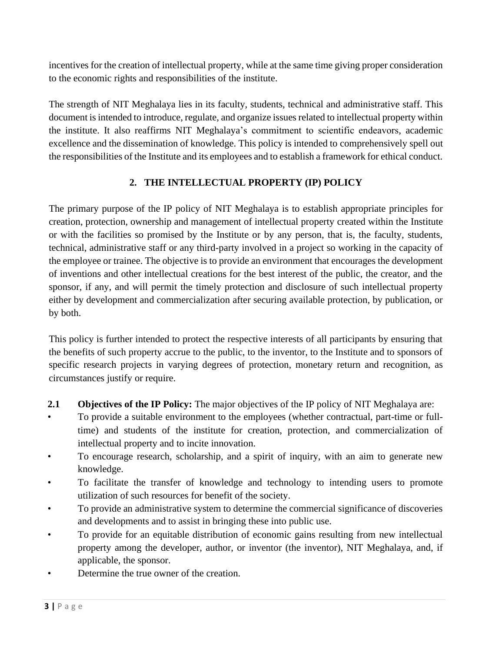incentives for the creation of intellectual property, while at the same time giving proper consideration to the economic rights and responsibilities of the institute.

The strength of NIT Meghalaya lies in its faculty, students, technical and administrative staff. This document is intended to introduce, regulate, and organize issues related to intellectual property within the institute. It also reaffirms NIT Meghalaya's commitment to scientific endeavors, academic excellence and the dissemination of knowledge. This policy is intended to comprehensively spell out the responsibilities of the Institute and its employees and to establish a framework for ethical conduct.

# **2. THE INTELLECTUAL PROPERTY (IP) POLICY**

The primary purpose of the IP policy of NIT Meghalaya is to establish appropriate principles for creation, protection, ownership and management of intellectual property created within the Institute or with the facilities so promised by the Institute or by any person, that is, the faculty, students, technical, administrative staff or any third-party involved in a project so working in the capacity of the employee or trainee. The objective is to provide an environment that encourages the development of inventions and other intellectual creations for the best interest of the public, the creator, and the sponsor, if any, and will permit the timely protection and disclosure of such intellectual property either by development and commercialization after securing available protection, by publication, or by both.

This policy is further intended to protect the respective interests of all participants by ensuring that the benefits of such property accrue to the public, to the inventor, to the Institute and to sponsors of specific research projects in varying degrees of protection, monetary return and recognition, as circumstances justify or require.

- **2.1 Objectives of the IP Policy:** The major objectives of the IP policy of NIT Meghalaya are:
- To provide a suitable environment to the employees (whether contractual, part-time or fulltime) and students of the institute for creation, protection, and commercialization of intellectual property and to incite innovation.
- To encourage research, scholarship, and a spirit of inquiry, with an aim to generate new knowledge.
- To facilitate the transfer of knowledge and technology to intending users to promote utilization of such resources for benefit of the society.
- To provide an administrative system to determine the commercial significance of discoveries and developments and to assist in bringing these into public use.
- To provide for an equitable distribution of economic gains resulting from new intellectual property among the developer, author, or inventor (the inventor), NIT Meghalaya, and, if applicable, the sponsor.
- Determine the true owner of the creation.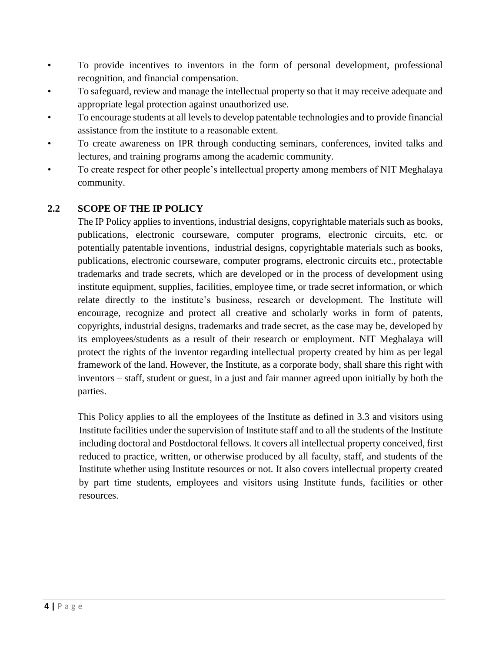- To provide incentives to inventors in the form of personal development, professional recognition, and financial compensation.
- To safeguard, review and manage the intellectual property so that it may receive adequate and appropriate legal protection against unauthorized use.
- To encourage students at all levels to develop patentable technologies and to provide financial assistance from the institute to a reasonable extent.
- To create awareness on IPR through conducting seminars, conferences, invited talks and lectures, and training programs among the academic community.
- To create respect for other people's intellectual property among members of NIT Meghalaya community.

# **2.2 SCOPE OF THE IP POLICY**

The IP Policy applies to inventions, industrial designs, copyrightable materials such as books, publications, electronic courseware, computer programs, electronic circuits, etc. or potentially patentable inventions, industrial designs, copyrightable materials such as books, publications, electronic courseware, computer programs, electronic circuits etc., protectable trademarks and trade secrets, which are developed or in the process of development using institute equipment, supplies, facilities, employee time, or trade secret information, or which relate directly to the institute's business, research or development. The Institute will encourage, recognize and protect all creative and scholarly works in form of patents, copyrights, industrial designs, trademarks and trade secret, as the case may be, developed by its employees/students as a result of their research or employment. NIT Meghalaya will protect the rights of the inventor regarding intellectual property created by him as per legal framework of the land. However, the Institute, as a corporate body, shall share this right with inventors – staff, student or guest, in a just and fair manner agreed upon initially by both the parties.

This Policy applies to all the employees of the Institute as defined in 3.3 and visitors using Institute facilities under the supervision of Institute staff and to all the students of the Institute including doctoral and Postdoctoral fellows. It covers all intellectual property conceived, first reduced to practice, written, or otherwise produced by all faculty, staff, and students of the Institute whether using Institute resources or not. It also covers intellectual property created by part time students, employees and visitors using Institute funds, facilities or other resources.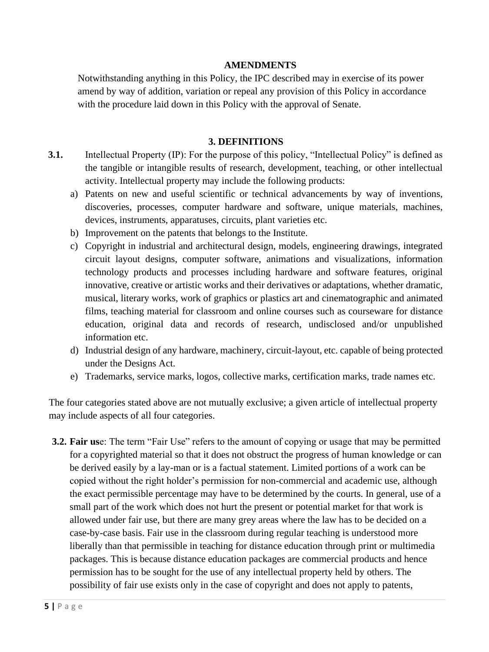#### **AMENDMENTS**

Notwithstanding anything in this Policy, the IPC described may in exercise of its power amend by way of addition, variation or repeal any provision of this Policy in accordance with the procedure laid down in this Policy with the approval of Senate.

#### **3. DEFINITIONS**

- **3.1.** Intellectual Property (IP): For the purpose of this policy, "Intellectual Policy" is defined as the tangible or intangible results of research, development, teaching, or other intellectual activity. Intellectual property may include the following products:
	- a) Patents on new and useful scientific or technical advancements by way of inventions, discoveries, processes, computer hardware and software, unique materials, machines, devices, instruments, apparatuses, circuits, plant varieties etc.
	- b) Improvement on the patents that belongs to the Institute.
	- c) Copyright in industrial and architectural design, models, engineering drawings, integrated circuit layout designs, computer software, animations and visualizations, information technology products and processes including hardware and software features, original innovative, creative or artistic works and their derivatives or adaptations, whether dramatic, musical, literary works, work of graphics or plastics art and cinematographic and animated films, teaching material for classroom and online courses such as courseware for distance education, original data and records of research, undisclosed and/or unpublished information etc.
	- d) Industrial design of any hardware, machinery, circuit-layout, etc. capable of being protected under the Designs Act.
	- e) Trademarks, service marks, logos, collective marks, certification marks, trade names etc.

The four categories stated above are not mutually exclusive; a given article of intellectual property may include aspects of all four categories.

**3.2. Fair us**e: The term "Fair Use" refers to the amount of copying or usage that may be permitted for a copyrighted material so that it does not obstruct the progress of human knowledge or can be derived easily by a lay-man or is a factual statement. Limited portions of a work can be copied without the right holder's permission for non-commercial and academic use, although the exact permissible percentage may have to be determined by the courts. In general, use of a small part of the work which does not hurt the present or potential market for that work is allowed under fair use, but there are many grey areas where the law has to be decided on a case-by-case basis. Fair use in the classroom during regular teaching is understood more liberally than that permissible in teaching for distance education through print or multimedia packages. This is because distance education packages are commercial products and hence permission has to be sought for the use of any intellectual property held by others. The possibility of fair use exists only in the case of copyright and does not apply to patents,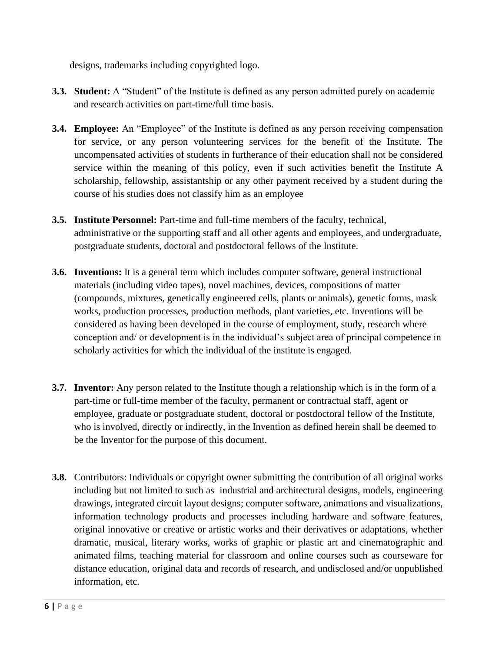designs, trademarks including copyrighted logo.

- **3.3. Student:** A "Student" of the Institute is defined as any person admitted purely on academic and research activities on part-time/full time basis.
- **3.4. Employee:** An "Employee" of the Institute is defined as any person receiving compensation for service, or any person volunteering services for the benefit of the Institute. The uncompensated activities of students in furtherance of their education shall not be considered service within the meaning of this policy, even if such activities benefit the Institute A scholarship, fellowship, assistantship or any other payment received by a student during the course of his studies does not classify him as an employee
- **3.5. Institute Personnel:** Part-time and full-time members of the faculty, technical, administrative or the supporting staff and all other agents and employees, and undergraduate, postgraduate students, doctoral and postdoctoral fellows of the Institute.
- **3.6. Inventions:** It is a general term which includes computer software, general instructional materials (including video tapes), novel machines, devices, compositions of matter (compounds, mixtures, genetically engineered cells, plants or animals), genetic forms, mask works, production processes, production methods, plant varieties, etc. Inventions will be considered as having been developed in the course of employment, study, research where conception and/ or development is in the individual's subject area of principal competence in scholarly activities for which the individual of the institute is engaged.
- **3.7. Inventor:** Any person related to the Institute though a relationship which is in the form of a part-time or full-time member of the faculty, permanent or contractual staff, agent or employee, graduate or postgraduate student, doctoral or postdoctoral fellow of the Institute, who is involved, directly or indirectly, in the Invention as defined herein shall be deemed to be the Inventor for the purpose of this document.
- **3.8.** Contributors: Individuals or copyright owner submitting the contribution of all original works including but not limited to such as industrial and architectural designs, models, engineering drawings, integrated circuit layout designs; computer software, animations and visualizations, information technology products and processes including hardware and software features, original innovative or creative or artistic works and their derivatives or adaptations, whether dramatic, musical, literary works, works of graphic or plastic art and cinematographic and animated films, teaching material for classroom and online courses such as courseware for distance education, original data and records of research, and undisclosed and/or unpublished information, etc.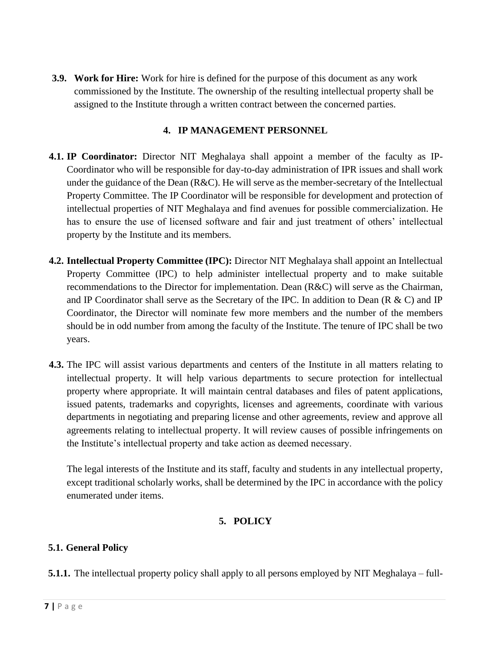**3.9. Work for Hire:** Work for hire is defined for the purpose of this document as any work commissioned by the Institute. The ownership of the resulting intellectual property shall be assigned to the Institute through a written contract between the concerned parties.

#### **4. IP MANAGEMENT PERSONNEL**

- **4.1. IP Coordinator:** Director NIT Meghalaya shall appoint a member of the faculty as IP-Coordinator who will be responsible for day-to-day administration of IPR issues and shall work under the guidance of the Dean  $(R&C)$ . He will serve as the member-secretary of the Intellectual Property Committee. The IP Coordinator will be responsible for development and protection of intellectual properties of NIT Meghalaya and find avenues for possible commercialization. He has to ensure the use of licensed software and fair and just treatment of others' intellectual property by the Institute and its members.
- **4.2. Intellectual Property Committee (IPC):** Director NIT Meghalaya shall appoint an Intellectual Property Committee (IPC) to help administer intellectual property and to make suitable recommendations to the Director for implementation. Dean (R&C) will serve as the Chairman, and IP Coordinator shall serve as the Secretary of the IPC. In addition to Dean ( $R \& C$ ) and IP Coordinator, the Director will nominate few more members and the number of the members should be in odd number from among the faculty of the Institute. The tenure of IPC shall be two years.
- **4.3.** The IPC will assist various departments and centers of the Institute in all matters relating to intellectual property. It will help various departments to secure protection for intellectual property where appropriate. It will maintain central databases and files of patent applications, issued patents, trademarks and copyrights, licenses and agreements, coordinate with various departments in negotiating and preparing license and other agreements, review and approve all agreements relating to intellectual property. It will review causes of possible infringements on the Institute's intellectual property and take action as deemed necessary.

The legal interests of the Institute and its staff, faculty and students in any intellectual property, except traditional scholarly works, shall be determined by the IPC in accordance with the policy enumerated under items.

## **5. POLICY**

## **5.1. General Policy**

**5.1.1.** The intellectual property policy shall apply to all persons employed by NIT Meghalaya – full-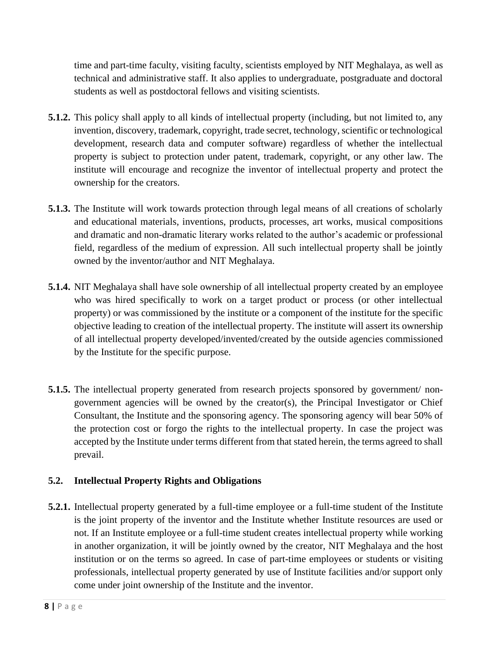time and part-time faculty, visiting faculty, scientists employed by NIT Meghalaya, as well as technical and administrative staff. It also applies to undergraduate, postgraduate and doctoral students as well as postdoctoral fellows and visiting scientists.

- **5.1.2.** This policy shall apply to all kinds of intellectual property (including, but not limited to, any invention, discovery, trademark, copyright, trade secret, technology, scientific or technological development, research data and computer software) regardless of whether the intellectual property is subject to protection under patent, trademark, copyright, or any other law. The institute will encourage and recognize the inventor of intellectual property and protect the ownership for the creators.
- **5.1.3.** The Institute will work towards protection through legal means of all creations of scholarly and educational materials, inventions, products, processes, art works, musical compositions and dramatic and non-dramatic literary works related to the author's academic or professional field, regardless of the medium of expression. All such intellectual property shall be jointly owned by the inventor/author and NIT Meghalaya.
- **5.1.4.** NIT Meghalaya shall have sole ownership of all intellectual property created by an employee who was hired specifically to work on a target product or process (or other intellectual property) or was commissioned by the institute or a component of the institute for the specific objective leading to creation of the intellectual property. The institute will assert its ownership of all intellectual property developed/invented/created by the outside agencies commissioned by the Institute for the specific purpose.
- **5.1.5.** The intellectual property generated from research projects sponsored by government/ nongovernment agencies will be owned by the creator(s), the Principal Investigator or Chief Consultant, the Institute and the sponsoring agency. The sponsoring agency will bear 50% of the protection cost or forgo the rights to the intellectual property. In case the project was accepted by the Institute under terms different from that stated herein, the terms agreed to shall prevail.

## **5.2. Intellectual Property Rights and Obligations**

**5.2.1.** Intellectual property generated by a full-time employee or a full-time student of the Institute is the joint property of the inventor and the Institute whether Institute resources are used or not. If an Institute employee or a full-time student creates intellectual property while working in another organization, it will be jointly owned by the creator, NIT Meghalaya and the host institution or on the terms so agreed. In case of part-time employees or students or visiting professionals, intellectual property generated by use of Institute facilities and/or support only come under joint ownership of the Institute and the inventor.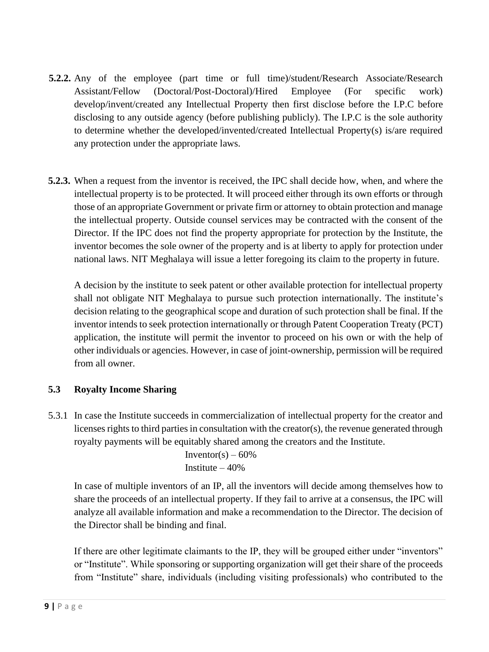- **5.2.2.** Any of the employee (part time or full time)/student/Research Associate/Research Assistant/Fellow (Doctoral/Post-Doctoral)/Hired Employee (For specific work) develop/invent/created any Intellectual Property then first disclose before the I.P.C before disclosing to any outside agency (before publishing publicly). The I.P.C is the sole authority to determine whether the developed/invented/created Intellectual Property(s) is/are required any protection under the appropriate laws.
- **5.2.3.** When a request from the inventor is received, the IPC shall decide how, when, and where the intellectual property is to be protected. It will proceed either through its own efforts or through those of an appropriate Government or private firm or attorney to obtain protection and manage the intellectual property. Outside counsel services may be contracted with the consent of the Director. If the IPC does not find the property appropriate for protection by the Institute, the inventor becomes the sole owner of the property and is at liberty to apply for protection under national laws. NIT Meghalaya will issue a letter foregoing its claim to the property in future.

A decision by the institute to seek patent or other available protection for intellectual property shall not obligate NIT Meghalaya to pursue such protection internationally. The institute's decision relating to the geographical scope and duration of such protection shall be final. If the inventor intends to seek protection internationally or through Patent Cooperation Treaty (PCT) application, the institute will permit the inventor to proceed on his own or with the help of other individuals or agencies. However, in case of joint-ownership, permission will be required from all owner.

## **5.3 Royalty Income Sharing**

5.3.1 In case the Institute succeeds in commercialization of intellectual property for the creator and licenses rights to third parties in consultation with the creator(s), the revenue generated through royalty payments will be equitably shared among the creators and the Institute.

> Inventor(s) –  $60\%$ Institute – 40%

In case of multiple inventors of an IP, all the inventors will decide among themselves how to share the proceeds of an intellectual property. If they fail to arrive at a consensus, the IPC will analyze all available information and make a recommendation to the Director. The decision of the Director shall be binding and final.

If there are other legitimate claimants to the IP, they will be grouped either under "inventors" or "Institute". While sponsoring or supporting organization will get their share of the proceeds from "Institute" share, individuals (including visiting professionals) who contributed to the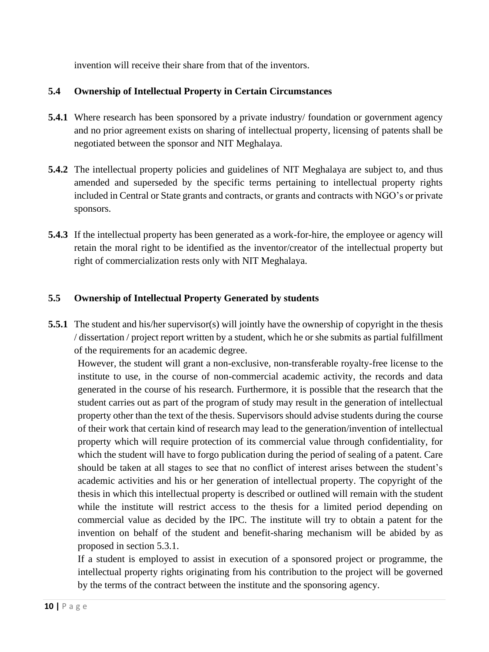invention will receive their share from that of the inventors.

## **5.4 Ownership of Intellectual Property in Certain Circumstances**

- **5.4.1** Where research has been sponsored by a private industry/ foundation or government agency and no prior agreement exists on sharing of intellectual property, licensing of patents shall be negotiated between the sponsor and NIT Meghalaya.
- **5.4.2** The intellectual property policies and guidelines of NIT Meghalaya are subject to, and thus amended and superseded by the specific terms pertaining to intellectual property rights included in Central or State grants and contracts, or grants and contracts with NGO's or private sponsors.
- **5.4.3** If the intellectual property has been generated as a work-for-hire, the employee or agency will retain the moral right to be identified as the inventor/creator of the intellectual property but right of commercialization rests only with NIT Meghalaya.

#### **5.5 Ownership of Intellectual Property Generated by students**

**5.5.1** The student and his/her supervisor(s) will jointly have the ownership of copyright in the thesis / dissertation / project report written by a student, which he or she submits as partial fulfillment of the requirements for an academic degree.

However, the student will grant a non-exclusive, non-transferable royalty-free license to the institute to use, in the course of non-commercial academic activity, the records and data generated in the course of his research. Furthermore, it is possible that the research that the student carries out as part of the program of study may result in the generation of intellectual property other than the text of the thesis. Supervisors should advise students during the course of their work that certain kind of research may lead to the generation/invention of intellectual property which will require protection of its commercial value through confidentiality, for which the student will have to forgo publication during the period of sealing of a patent. Care should be taken at all stages to see that no conflict of interest arises between the student's academic activities and his or her generation of intellectual property. The copyright of the thesis in which this intellectual property is described or outlined will remain with the student while the institute will restrict access to the thesis for a limited period depending on commercial value as decided by the IPC. The institute will try to obtain a patent for the invention on behalf of the student and benefit-sharing mechanism will be abided by as proposed in section 5.3.1.

If a student is employed to assist in execution of a sponsored project or programme, the intellectual property rights originating from his contribution to the project will be governed by the terms of the contract between the institute and the sponsoring agency.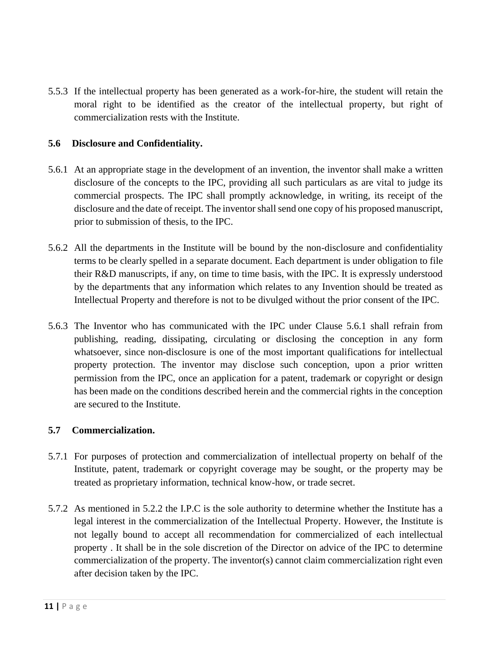5.5.3 If the intellectual property has been generated as a work-for-hire, the student will retain the moral right to be identified as the creator of the intellectual property, but right of commercialization rests with the Institute.

#### **5.6 Disclosure and Confidentiality.**

- 5.6.1 At an appropriate stage in the development of an invention, the inventor shall make a written disclosure of the concepts to the IPC, providing all such particulars as are vital to judge its commercial prospects. The IPC shall promptly acknowledge, in writing, its receipt of the disclosure and the date of receipt. The inventor shall send one copy of his proposed manuscript, prior to submission of thesis, to the IPC.
- 5.6.2 All the departments in the Institute will be bound by the non-disclosure and confidentiality terms to be clearly spelled in a separate document. Each department is under obligation to file their R&D manuscripts, if any, on time to time basis, with the IPC. It is expressly understood by the departments that any information which relates to any Invention should be treated as Intellectual Property and therefore is not to be divulged without the prior consent of the IPC.
- 5.6.3 The Inventor who has communicated with the IPC under Clause 5.6.1 shall refrain from publishing, reading, dissipating, circulating or disclosing the conception in any form whatsoever, since non-disclosure is one of the most important qualifications for intellectual property protection. The inventor may disclose such conception, upon a prior written permission from the IPC, once an application for a patent, trademark or copyright or design has been made on the conditions described herein and the commercial rights in the conception are secured to the Institute.

#### **5.7 Commercialization.**

- 5.7.1 For purposes of protection and commercialization of intellectual property on behalf of the Institute, patent, trademark or copyright coverage may be sought, or the property may be treated as proprietary information, technical know-how, or trade secret.
- 5.7.2 As mentioned in 5.2.2 the I.P.C is the sole authority to determine whether the Institute has a legal interest in the commercialization of the Intellectual Property. However, the Institute is not legally bound to accept all recommendation for commercialized of each intellectual property . It shall be in the sole discretion of the Director on advice of the IPC to determine commercialization of the property. The inventor(s) cannot claim commercialization right even after decision taken by the IPC.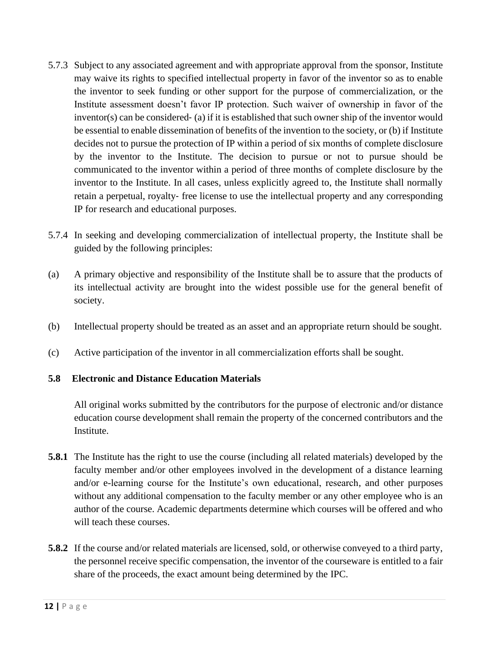- 5.7.3 Subject to any associated agreement and with appropriate approval from the sponsor, Institute may waive its rights to specified intellectual property in favor of the inventor so as to enable the inventor to seek funding or other support for the purpose of commercialization, or the Institute assessment doesn't favor IP protection. Such waiver of ownership in favor of the  $inventor(s)$  can be considered  $\epsilon$  (a) if it is established that such owner ship of the inventor would be essential to enable dissemination of benefits of the invention to the society, or (b) if Institute decides not to pursue the protection of IP within a period of six months of complete disclosure by the inventor to the Institute. The decision to pursue or not to pursue should be communicated to the inventor within a period of three months of complete disclosure by the inventor to the Institute. In all cases, unless explicitly agreed to, the Institute shall normally retain a perpetual, royalty‐ free license to use the intellectual property and any corresponding IP for research and educational purposes.
- 5.7.4 In seeking and developing commercialization of intellectual property, the Institute shall be guided by the following principles:
- (a) A primary objective and responsibility of the Institute shall be to assure that the products of its intellectual activity are brought into the widest possible use for the general benefit of society.
- (b) Intellectual property should be treated as an asset and an appropriate return should be sought.
- (c) Active participation of the inventor in all commercialization efforts shall be sought.

#### **5.8 Electronic and Distance Education Materials**

All original works submitted by the contributors for the purpose of electronic and/or distance education course development shall remain the property of the concerned contributors and the Institute.

- **5.8.1** The Institute has the right to use the course (including all related materials) developed by the faculty member and/or other employees involved in the development of a distance learning and/or e-learning course for the Institute's own educational, research, and other purposes without any additional compensation to the faculty member or any other employee who is an author of the course. Academic departments determine which courses will be offered and who will teach these courses.
- **5.8.2** If the course and/or related materials are licensed, sold, or otherwise conveyed to a third party, the personnel receive specific compensation, the inventor of the courseware is entitled to a fair share of the proceeds, the exact amount being determined by the IPC.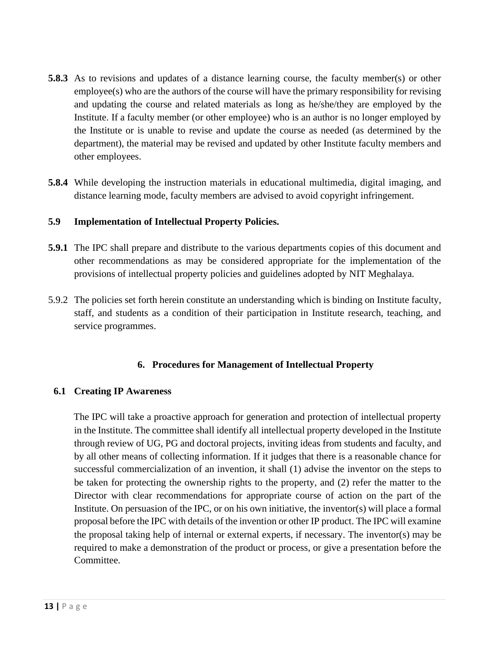- **5.8.3** As to revisions and updates of a distance learning course, the faculty member(s) or other employee(s) who are the authors of the course will have the primary responsibility for revising and updating the course and related materials as long as he/she/they are employed by the Institute. If a faculty member (or other employee) who is an author is no longer employed by the Institute or is unable to revise and update the course as needed (as determined by the department), the material may be revised and updated by other Institute faculty members and other employees.
- **5.8.4** While developing the instruction materials in educational multimedia, digital imaging, and distance learning mode, faculty members are advised to avoid copyright infringement.

#### **5.9 Implementation of Intellectual Property Policies.**

- **5.9.1** The IPC shall prepare and distribute to the various departments copies of this document and other recommendations as may be considered appropriate for the implementation of the provisions of intellectual property policies and guidelines adopted by NIT Meghalaya.
- 5.9.2 The policies set forth herein constitute an understanding which is binding on Institute faculty, staff, and students as a condition of their participation in Institute research, teaching, and service programmes.

#### **6. Procedures for Management of Intellectual Property**

#### **6.1 Creating IP Awareness**

The IPC will take a proactive approach for generation and protection of intellectual property in the Institute. The committee shall identify all intellectual property developed in the Institute through review of UG, PG and doctoral projects, inviting ideas from students and faculty, and by all other means of collecting information. If it judges that there is a reasonable chance for successful commercialization of an invention, it shall (1) advise the inventor on the steps to be taken for protecting the ownership rights to the property, and (2) refer the matter to the Director with clear recommendations for appropriate course of action on the part of the Institute. On persuasion of the IPC, or on his own initiative, the inventor(s) will place a formal proposal before the IPC with details of the invention or other IP product. The IPC will examine the proposal taking help of internal or external experts, if necessary. The inventor(s) may be required to make a demonstration of the product or process, or give a presentation before the Committee.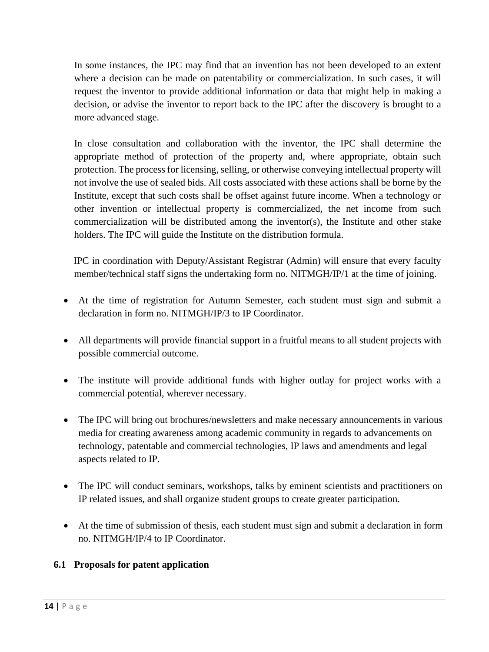In some instances, the IPC may find that an invention has not been developed to an extent where a decision can be made on patentability or commercialization. In such cases, it will request the inventor to provide additional information or data that might help in making a decision, or advise the inventor to report back to the IPC after the discovery is brought to a more advanced stage.

In close consultation and collaboration with the inventor, the IPC shall determine the appropriate method of protection of the property and, where appropriate, obtain such protection. The process for licensing, selling, or otherwise conveying intellectual property will not involve the use of sealed bids. All costs associated with these actions shall be borne by the Institute, except that such costs shall be offset against future income. When a technology or other invention or intellectual property is commercialized, the net income from such commercialization will be distributed among the inventor(s), the Institute and other stake holders. The IPC will guide the Institute on the distribution formula.

IPC in coordination with Deputy/Assistant Registrar (Admin) will ensure that every faculty member/technical staff signs the undertaking form no. NITMGH/IP/1 at the time of joining.

- At the time of registration for Autumn Semester, each student must sign and submit a declaration in form no. NITMGH/IP/3 to IP Coordinator.
- All departments will provide financial support in a fruitful means to all student projects with possible commercial outcome.
- The institute will provide additional funds with higher outlay for project works with a commercial potential, wherever necessary.
- The IPC will bring out brochures/newsletters and make necessary announcements in various media for creating awareness among academic community in regards to advancements on technology, patentable and commercial technologies, IP laws and amendments and legal aspects related to IP.
- The IPC will conduct seminars, workshops, talks by eminent scientists and practitioners on IP related issues, and shall organize student groups to create greater participation.
- At the time of submission of thesis, each student must sign and submit a declaration in form no. NITMGH/IP/4 to IP Coordinator.

## **6.1 Proposals for patent application**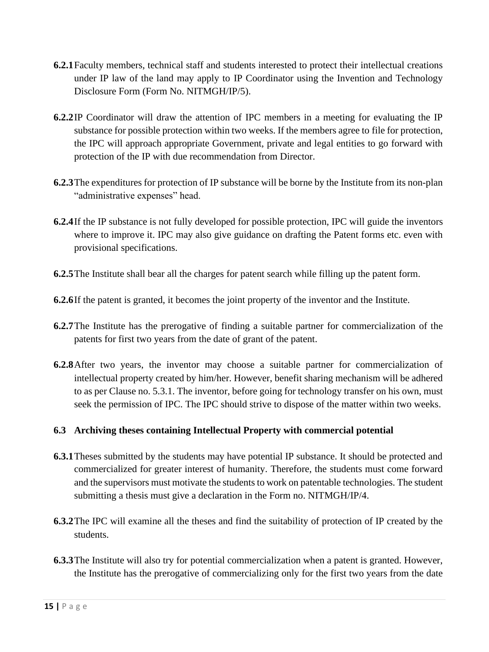- **6.2.1**Faculty members, technical staff and students interested to protect their intellectual creations under IP law of the land may apply to IP Coordinator using the Invention and Technology Disclosure Form (Form No. NITMGH/IP/5).
- **6.2.2**IP Coordinator will draw the attention of IPC members in a meeting for evaluating the IP substance for possible protection within two weeks. If the members agree to file for protection, the IPC will approach appropriate Government, private and legal entities to go forward with protection of the IP with due recommendation from Director.
- **6.2.3**The expenditures for protection of IP substance will be borne by the Institute from its non-plan "administrative expenses" head.
- **6.2.4**If the IP substance is not fully developed for possible protection, IPC will guide the inventors where to improve it. IPC may also give guidance on drafting the Patent forms etc. even with provisional specifications.
- **6.2.5**The Institute shall bear all the charges for patent search while filling up the patent form.
- **6.2.6**If the patent is granted, it becomes the joint property of the inventor and the Institute.
- **6.2.7**The Institute has the prerogative of finding a suitable partner for commercialization of the patents for first two years from the date of grant of the patent.
- **6.2.8**After two years, the inventor may choose a suitable partner for commercialization of intellectual property created by him/her. However, benefit sharing mechanism will be adhered to as per Clause no. 5.3.1. The inventor, before going for technology transfer on his own, must seek the permission of IPC. The IPC should strive to dispose of the matter within two weeks.

## **6.3 Archiving theses containing Intellectual Property with commercial potential**

- **6.3.1**Theses submitted by the students may have potential IP substance. It should be protected and commercialized for greater interest of humanity. Therefore, the students must come forward and the supervisors must motivate the students to work on patentable technologies. The student submitting a thesis must give a declaration in the Form no. NITMGH/IP/4.
- **6.3.2**The IPC will examine all the theses and find the suitability of protection of IP created by the students.
- **6.3.3**The Institute will also try for potential commercialization when a patent is granted. However, the Institute has the prerogative of commercializing only for the first two years from the date